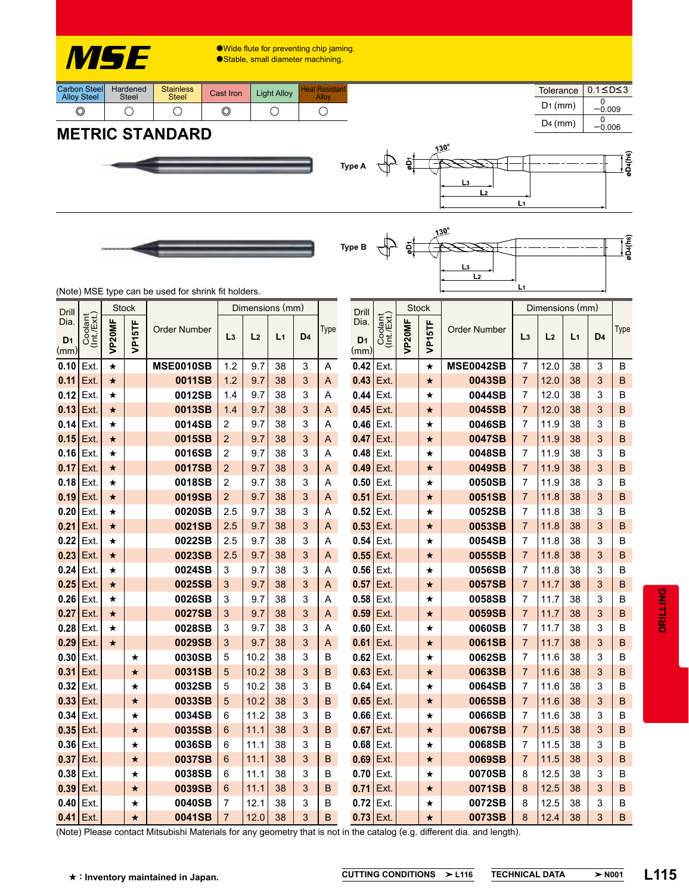

Wide flute for preventing chip jaming.

● Stable, small diameter machining.

| Carbon Steel<br><b>Alloy Steel</b> | Hardened<br><b>Steel</b> | <b>Stainless</b><br><b>Steel</b> | Cast Iron | <b>Light Alloy</b> | <b>Heat Resistant</b> |  |  |
|------------------------------------|--------------------------|----------------------------------|-----------|--------------------|-----------------------|--|--|
| y                                  |                          |                                  |           |                    |                       |  |  |

 $0.1 \leq D \leq 3$  $D_1$  (mm)  $\frac{0}{-0.009}$  $D4$  (mm)  $-0.006$ **Tolerance** 

øD4(h6)

## **METRIC STANDARD**





 $L<sub>2</sub>$ 

 $Li$ 

 $30^\circ$ 

(Note) MSE type can be used for shrink fit holders.

| Drill                          |                        | <b>Stock</b> |              |                     | Dimensions (mm) |                |                |                |        | Drill                          |                        | Stock  |              |                     | Dimensions (mm)                  |                |                |                |        |
|--------------------------------|------------------------|--------------|--------------|---------------------|-----------------|----------------|----------------|----------------|--------|--------------------------------|------------------------|--------|--------------|---------------------|----------------------------------|----------------|----------------|----------------|--------|
| Dia.<br>D <sub>1</sub><br>(mm) | Coolant<br>(Int./Ext.) | VP20MF       | 5TF<br>Ĕ     | <b>Order Number</b> | L <sub>3</sub>  | L <sub>2</sub> | L <sub>1</sub> | D <sub>4</sub> | Type   | Dia.<br>D <sub>1</sub><br>(mm) | Coolant<br>(Int./Ext.) | VP20MF | 5TF<br>Ĕ     | <b>Order Number</b> | L <sub>3</sub>                   | L <sub>2</sub> | L <sub>1</sub> | D <sub>4</sub> | Type   |
| 0.10                           | Ext                    | $\star$      |              | <b>MSE0010SB</b>    | 1.2             | 9.7            | 38             | 3              | A      | 0.42                           | Ext.                   |        | ★            | <b>MSE0042SB</b>    | $\overline{7}$                   | 12.0           | 38             | 3              | B      |
| 0.11                           | Ext                    | $\star$      |              | 0011SB              | 1.2             | 9.7            | 38             | 3              | A      | 0.43                           | Ext.                   |        | $\star$      | 0043SB              | $\overline{7}$                   | 12.0           | 38             | 3              | B      |
| 0.12                           | Ext.                   | ★            |              | 0012SB              | 1.4             | 9.7            | 38             | 3              | A      | 0.44                           | Ext.                   |        | ★            | 0044SB              | 7                                | 12.0           | 38             | 3              | B      |
| 0.13                           | Ext.                   | $\star$      |              | 0013SB              | 1.4             | 9.7            | 38             | 3              | A      | 0.45                           | Ext.                   |        | ★            | 0045SB              | $\overline{7}$                   | 12.0           | 38             | 3              | B      |
| 0.14                           | Ext.                   | ★            |              | 0014SB              | 2               | 9.7            | 38             | 3              | A      | 0.46                           | Ext.                   |        | ★            | 0046SB              | $\overline{7}$                   | 11.9           | 38             | 3              | B      |
| 0.15                           | Ext.                   | $\star$      |              | 0015SB              | $\overline{2}$  | 9.7            | 38             | 3              | A      | 0.47                           | Ext.                   |        | $\star$      | 0047SB              | 7                                | 11.9           | 38             | 3              | B      |
| 0.16                           | Ext.                   | $\star$      |              | 0016SB              | 2               | 9.7            | 38             | 3              | A      | 0.48                           | Ext.                   |        | ★            | 0048SB              | $\overline{7}$                   | 11.9           | 38             | 3              | B      |
| 0.17                           | Ext                    | $\star$      |              | 0017SB              | $\overline{2}$  | 9.7            | 38             | 3              | A      | 0.49                           | Ext.                   |        | $\star$      | 0049SB              | $\overline{7}$                   | 11.9           | 38             | 3              | B      |
| 0.18                           | Ext                    | $\star$      |              | 0018SB              | 2               | 9.7            | 38             | 3              | Α      | 0.50                           | Ext.                   |        | ★            | 0050SB              | $\overline{7}$                   | 11.9           | 38             | 3              | B      |
| 0.19                           | Ext                    | $\star$      |              | 0019SB              | $\overline{2}$  | 9.7            | 38             | 3              | A      | 0.51                           | Ext.                   |        | $\star$      | 0051SB              | $\overline{7}$                   | 11.8           | 38             | 3              | B      |
| 0.20                           | Ext                    | ★            |              | 0020SB              | 2.5             | 9.7            | 38             | 3              | A      | 0.52                           | Ext.                   |        | ★            | 0052SB              | $\overline{7}$                   | 11.8           | 38             | 3              | B      |
| 0.21                           | Ext.                   | $\star$      |              | 0021SB              | 2.5             | 9.7            | 38             | 3              | A      | 0.53                           | Ext.                   |        | $\star$      | 0053SB              | $\overline{7}$                   | 11.8           | 38             | 3              | B      |
| 0.22                           | Ext                    | $\star$      |              | 0022SB              | 2.5             | 9.7            | 38             | 3              | Α      | 0.54                           | Ext.                   |        | ★            | 0054SB              | $\overline{7}$                   | 11.8           | 38             | 3              | B      |
| 0.23                           | Ext.                   | $\star$      |              | 0023SB              | 2.5             | 9.7            | 38             | 3              | A      | 0.55                           | Ext.                   |        | $\star$      | 0055SB              | $\overline{7}$                   | 11.8           | 38             | 3              | B      |
| 0.24                           | Ext                    | ★            |              | 0024SB              | 3               | 9.7            | 38             | 3              | Α      | 0.56                           | Ext.                   |        | ★            | 0056SB              | $\overline{7}$                   | 11.8           | 38             | 3              | B      |
| 0.25                           | Ext.                   | $\star$      |              | 0025SB              | 3               | 9.7            | 38             | 3              | A      | 0.57                           | Ext.                   |        | $\star$      | 0057SB              | $\overline{7}$                   | 11.7           | 38             | 3              | B      |
| 0.26                           | Ext.                   | ★            |              | 0026SB              | 3               | 9.7            | 38             | 3              | A      | 0.58                           | Ext.                   |        | ★            | 0058SB              | $\overline{7}$                   | 11.7           | 38             | 3              | B      |
| 0.27                           | Ext.                   | $\star$      |              | 0027SB              | 3               | 9.7            | 38             | 3              | A      | 0.59                           | Ext.                   |        | $\star$      | 0059SB              | $\overline{7}$                   | 11.7           | 38             | 3              | B      |
| 0.28                           | Ext.                   | $\star$      |              | 0028SB              | 3               | 9.7            | 38             | 3              | A      | 0.60                           | Ext.                   |        | ★            | 0060SB              | $\overline{7}$                   | 11.7           | 38             | 3              | B      |
| 0.29<br>0.30                   | Ext.<br>Ext.           | $\star$      |              | 0029SB<br>0030SB    | 3<br>5          | 9.7<br>10.2    | 38<br>38       | 3<br>3         | A<br>B | 0.61<br>0.62                   | Ext.<br>Ext.           |        | $\star$      | 0061SB<br>0062SB    | $\overline{7}$<br>$\overline{7}$ | 11.7<br>11.6   | 38<br>38       | 3<br>3         | B<br>B |
| 0.31                           | Ext.                   |              | ★<br>$\star$ | 0031SB              | 5               | 10.2           | 38             | 3              | B      | 0.63                           | Ext.                   |        | ★<br>$\star$ | 0063SB              | $\overline{7}$                   | 11.6           | 38             | 3              | B      |
| 0.32                           | Ext.                   |              | ★            | 0032SB              | 5               | 10.2           | 38             | 3              | B      | 0.64                           | Ext.                   |        | ★            | 0064SB              | $\overline{7}$                   | 11.6           | 38             | 3              | B      |
| 0.33                           | Ext.                   |              | $\star$      | 0033SB              | 5               | 10.2           | 38             | 3              | B      | 0.65                           | Ext.                   |        | $\star$      | 0065SB              | $\overline{7}$                   | 11.6           | 38             | 3              | B      |
| 0.34                           | Ext.                   |              | ★            | 0034SB              | 6               | 11.2           | 38             | 3              | B      | 0.66                           | Ext.                   |        | ★            | 0066SB              | $\overline{7}$                   | 11.6           | 38             | 3              | B      |
| 0.35                           | Ext.                   |              | $\star$      | 0035SB              | 6               | 11.1           | 38             | 3              | В      | 0.67                           | Ext.                   |        | $\star$      | 0067SB              | $\overline{7}$                   | 11.5           | 38             | 3              | B      |
| 0.36                           | Ext.                   |              | ★            | 0036SB              | 6               | 11.1           | 38             | 3              | B      | 0.68                           | Ext.                   |        | ★            | 0068SB              | $\overline{7}$                   | 11.5           | 38             | 3              | B      |
| 0.37                           | Ext.                   |              | $\star$      | 0037SB              | 6               | 11.1           | 38             | 3              | В      | 0.69                           | Ext.                   |        | $\star$      | 0069SB              | $\overline{7}$                   | 11.5           | 38             | 3              | B      |
| 0.38                           | Ext.                   |              | ★            | 0038SB              | 6               | 11.1           | 38             | 3              | B      | 0.70                           | Ext.                   |        | ★            | 0070SB              | 8                                | 12.5           | 38             | 3              | В      |
| 0.39                           | Ext.                   |              | $\star$      | 0039SB              | 6               | 11.1           | 38             | 3              | B      | 0.71                           | Ext.                   |        | ★            | 0071SB              | 8                                | 12.5           | 38             | 3              | B      |
| 0.40                           | Ext.                   |              | ★            | 0040SB              | 7               | 12.1           | 38             | 3              | B      | 0.72                           | Ext.                   |        | ★            | 0072SB              | 8                                | 12.5           | 38             | 3              | B      |
| 0.41                           | Ext.                   |              | $\star$      | 0041SB              | $\overline{7}$  | 12.0           | 38             | 3              | B      | 0.73                           | Ext.                   |        | $\star$      | 0073SB              | 8                                | 12.4           | 38             | 3              | B      |

**Type A**  $\overrightarrow{q}$ 

(Note) Please contact Mitsubishi Materials for any geometry that is not in the catalog (e.g. different dia. and length).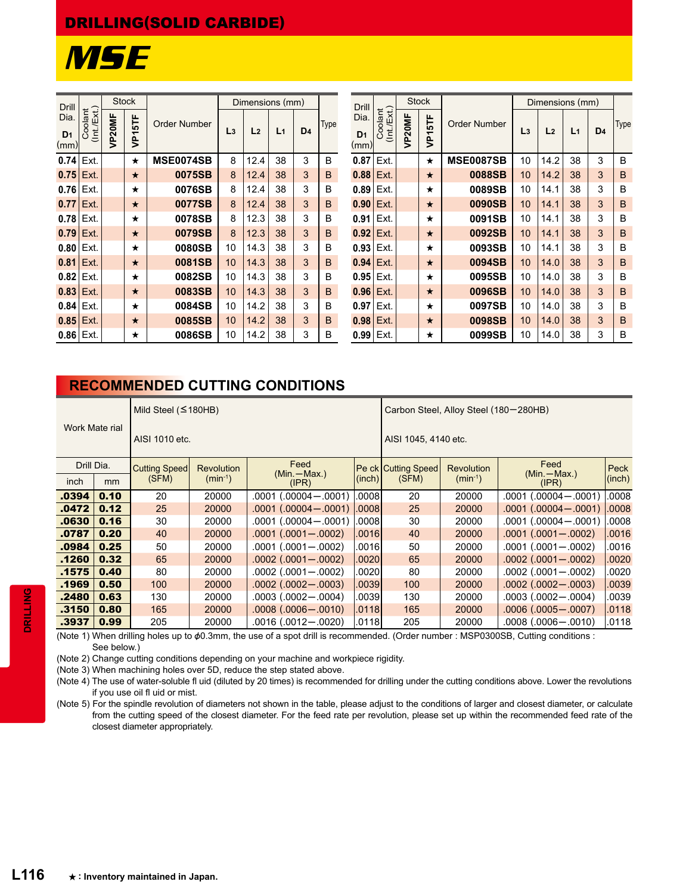## DRILLING(SOLID CARBIDE)



| <b>Drill</b>                   |                        | <b>Stock</b>       |          |                     | Dimensions (mm) |                                        |      |                                | <b>Drill</b>           |       | <b>Stock</b>     |                     |                | Dimensions (mm)  |                |                |             |   |   |
|--------------------------------|------------------------|--------------------|----------|---------------------|-----------------|----------------------------------------|------|--------------------------------|------------------------|-------|------------------|---------------------|----------------|------------------|----------------|----------------|-------------|---|---|
| Dia.<br>D <sub>1</sub><br>(mm) | Coolant<br>(Int./Ext.) | VP <sub>20MF</sub> | VP15TF   | <b>Order Number</b> | L <sub>3</sub>  | D <sub>4</sub><br>L <sub>2</sub><br>L1 | Type | Dia.<br>D <sub>1</sub><br>(mm) | Coolant<br>(Int./Ext.) | P20MF | 5TF<br><b>Jd</b> | <b>Order Number</b> | L <sub>3</sub> | L <sub>2</sub>   | L <sub>1</sub> | D <sub>4</sub> | <b>Type</b> |   |   |
| $0.74$ Ext.                    |                        |                    | $\star$  | MSE0074SB           | 8               | 12.4                                   | 38   | 3                              | B                      | 0.87  | Ext.             |                     | $\star$        | <b>MSE0087SB</b> | 10             | 14.2           | 38          | 3 | B |
| $0.75$ Ext.                    |                        |                    | ★        | 0075SB              | 8               | 12.4                                   | 38   | 3                              | B                      | 0.88  | Ext.             |                     | $\star$        | 0088SB           | 10             | 14.2           | 38          | 3 | B |
| $0.76$   Ext.                  |                        |                    | ★        | 0076SB              | 8               | 12.4                                   | 38   | 3                              | B                      | 0.89  | Ext.             |                     | $\star$        | 0089SB           | 10             | 14.1           | 38          | 3 | B |
| 0.77                           | Ext.                   |                    | $\star$  | 0077SB              | 8               | 12.4                                   | 38   | 3                              | B                      | 0.90  | Ext.             |                     | $\star$        | 0090SB           | 10             | 14.1           | 38          | 3 | B |
| $0.78$ Ext.                    |                        |                    | $^\star$ | 0078SB              | 8               | 12.3                                   | 38   | 3                              | B                      | 0.91  | Ext.             |                     | $\star$        | 0091SB           | 10             | 14.1           | 38          | 3 | B |
| $0.79$ Ext.                    |                        |                    | $\star$  | 0079SB              | 8               | 12.3                                   | 38   | 3                              | B                      | 0.92  | Ext.             |                     | $\star$        | 0092SB           | 10             | 14.1           | 38          | 3 | B |
| $0.80$   Ext.                  |                        |                    | ★        | 0080SB              | 10              | 14.3                                   | 38   | 3                              | B                      | 0.93  | Ext.             |                     | $\star$        | 0093SB           | 10             | 14.1           | 38          | 3 | B |
| 0.81                           | I Ext.                 |                    | $\star$  | 0081SB              | 10              | 14.3                                   | 38   | 3                              | B                      | 0.94  | Ext.             |                     | $\star$        | 0094SB           | 10             | 14.0           | 38          | 3 | B |
| $0.82$ Ext.                    |                        |                    | $^\star$ | 0082SB              | 10              | 14.3                                   | 38   | 3                              | B                      | 0.95  | Ext.             |                     | $\star$        | 0095SB           | 10             | 14.0           | 38          | 3 | B |
| $0.83$   Ext.                  |                        |                    | ★        | 0083SB              | 10              | 14.3                                   | 38   | 3                              | B                      | 0.96  | Ext.             |                     | $\star$        | 0096SB           | 10             | 14.0           | 38          | 3 | B |
| $0.84$ Ext.                    |                        |                    | $^\star$ | 0084SB              | 10              | 14.2                                   | 38   | 3                              | B                      | 0.97  | Ext.             |                     | $\star$        | 0097SB           | 10             | 14.0           | 38          | 3 | B |
| $0.85$ Ext.                    |                        |                    | $\star$  | 0085SB              | 10              | 14.2                                   | 38   | 3                              | B                      | 0.98  | Ext.             |                     | $\star$        | 0098SB           | 10             | 14.0           | 38          | 3 | B |
| $0.86$   Ext.                  |                        |                    | ★        | 0086SB              | 10              | 14.2                                   | 38   | 3                              | B                      | 0.99  | Ext.             |                     | $\star$        | 0099SB           | 10             | 14.0           | 38          | 3 | B |

## **RECOMMENDED CUTTING CONDITIONS**

|                |      | Mild Steel $($ $\leq$ 180HB)              |              |                            | Carbon Steel, Alloy Steel (180-280HB) |                     |                   |                            |        |  |  |  |
|----------------|------|-------------------------------------------|--------------|----------------------------|---------------------------------------|---------------------|-------------------|----------------------------|--------|--|--|--|
| Work Mate rial |      | AISI 1010 etc.                            |              |                            | AISI 1045, 4140 etc.                  |                     |                   |                            |        |  |  |  |
| Drill Dia.     |      | <b>Cutting Speed</b><br><b>Revolution</b> |              | Feed<br>$(Min - Max.)$     |                                       | Pe ck Cutting Speed | <b>Revolution</b> | Feed<br>$(Min - Max.)$     | Peck   |  |  |  |
| <i>inch</i>    | mm   | (SFM)                                     | $(min^{-1})$ | (IPR)                      | (inch)                                | (SFM)               | $(min^{-1})$      | (IPR)                      | (inch) |  |  |  |
| .0394          | 0.10 | 20                                        | 20000        | $.0001$ $(.00004 - .0001)$ | .0008                                 | 20                  | 20000             | $.0001$ $(.00004 - .0001)$ | .0008  |  |  |  |
| .0472          | 0.12 | 25                                        | 20000        | $.0001$ $(.00004 - .0001)$ | .0008 <sub>l</sub>                    | 25                  | 20000             | $.0001(.00004 - .0001)$    | .0008  |  |  |  |
| .0630          | 0.16 | 30                                        | 20000        | $.0001$ $(.00004 - .0001)$ | .0008                                 | 30                  | 20000             | $.0001(.00004-.0001)$      | .0008  |  |  |  |
| .0787          | 0.20 | 40                                        | 20000        | $.0001$ $(.0001 - .0002)$  | .0016                                 | 40                  | 20000             | $.0001$ $(.0001 - .0002)$  | .0016  |  |  |  |
| .0984          | 0.25 | 50                                        | 20000        | $.0001$ $(.0001 - .0002)$  | .00161                                | 50                  | 20000             | $.0001$ $(.0001 - .0002)$  | .0016  |  |  |  |
| .1260          | 0.32 | 65                                        | 20000        | $.0002$ $(.0001 - .0002)$  | .0020                                 | 65                  | 20000             | $.0002$ $(.0001 - .0002)$  | .0020  |  |  |  |
| .1575          | 0.40 | 80                                        | 20000        | $.0002$ $(.0001 - .0002)$  | .00201                                | 80                  | 20000             | $.0002$ $(.0001 - .0002)$  | .0020  |  |  |  |
| .1969          | 0.50 | 100                                       | 20000        | $.0002(.0002-.0003)$       | .0039                                 | 100                 | 20000             | $.0002$ $(.0002 - .0003)$  | 0039   |  |  |  |
| .2480          | 0.63 | 130                                       | 20000        | $.0003$ $(.0002 - .0004)$  | .0039                                 | 130                 | 20000             | $.0003$ $(.0002 - .0004)$  | 0039   |  |  |  |
| .3150          | 0.80 | 165                                       | 20000        | $.0008$ $(.0006 - .0010)$  | .0118                                 | 165                 | 20000             | $.0006$ $(.0005 - .0007)$  | .0118  |  |  |  |
| .3937          | 0.99 | 205                                       | 20000        | .0016 (.0012—.0020)        | .0118                                 | 205                 | 20000             | $.0008$ $(.0006 - .0010)$  | .0118  |  |  |  |

(Note 1) When drilling holes up to &0.3mm, the use of a spot drill is recommended. (Order number : MSP0300SB, Cutting conditions : See below.)

(Note 2) Change cutting conditions depending on your machine and workpiece rigidity.

(Note 3) When machining holes over 5D, reduce the step stated above.

(Note 4) The use of water-soluble fl uid (diluted by 20 times) is recommended for drilling under the cutting conditions above. Lower the revolutions if you use oil fl uid or mist.

(Note 5) For the spindle revolution of diameters not shown in the table, please adjust to the conditions of larger and closest diameter, or calculate from the cutting speed of the closest diameter. For the feed rate per revolution, please set up within the recommended feed rate of the closest diameter appropriately.